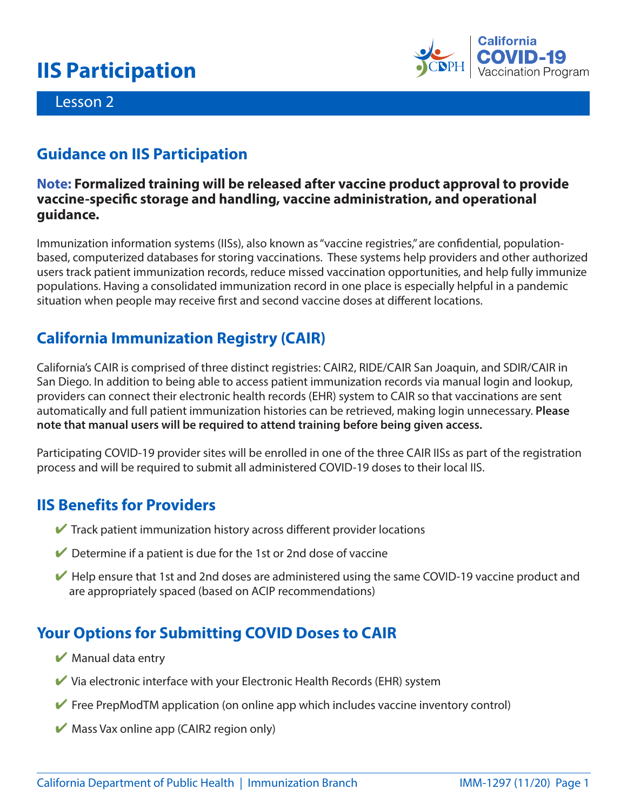# **IIS Participation**



#### Lesson 2

### **Guidance on IIS Participation**

#### **Note: Formalized training will be released after vaccine product approval to provide vaccine-specific storage and handling, vaccine administration, and operational guidance.**

Immunization information systems (IISs), also known as "vaccine registries," are confidential, populationbased, computerized databases for storing vaccinations. These systems help providers and other authorized users track patient immunization records, reduce missed vaccination opportunities, and help fully immunize populations. Having a consolidated immunization record in one place is especially helpful in a pandemic situation when people may receive first and second vaccine doses at different locations.

# **California Immunization Registry (CAIR)**

California's CAIR is comprised of three distinct registries: CAIR2, RIDE/CAIR San Joaquin, and SDIR/CAIR in San Diego. In addition to being able to access patient immunization records via manual login and lookup, providers can connect their electronic health records (EHR) system to CAIR so that vaccinations are sent automatically and full patient immunization histories can be retrieved, making login unnecessary. **Please note that manual users will be required to attend training before being given access.** 

Participating COVID-19 provider sites will be enrolled in one of the three CAIR IISs as part of the registration process and will be required to submit all administered COVID-19 doses to their local IIS.

## **IIS Benefits for Providers**

- $\vee$  Track patient immunization history across different provider locations
- $\vee$  Determine if a patient is due for the 1st or 2nd dose of vaccine
- $\blacktriangleright$  Help ensure that 1st and 2nd doses are administered using the same COVID-19 vaccine product and are appropriately spaced (based on ACIP recommendations)

# **Your Options for Submitting COVID Doses to CAIR**

- $\blacktriangleright$  Manual data entry
- $\vee$  Via electronic interface with your Electronic Health Records (EHR) system
- $\blacktriangleright$  Free PrepModTM application (on online app which includes vaccine inventory control)
- $\blacktriangleright$  Mass Vax online app (CAIR2 region only)